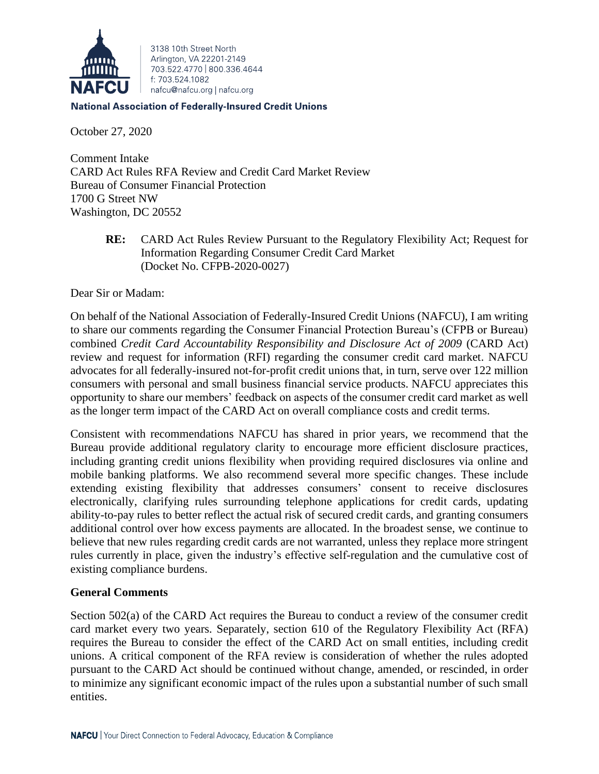

3138 10th Street North Arlington, VA 22201-2149 703 522 4770 800 336 4644 f: 703.524.1082 nafcu@nafcu.org | nafcu.org

#### **National Association of Federally-Insured Credit Unions**

October 27, 2020

Comment Intake CARD Act Rules RFA Review and Credit Card Market Review Bureau of Consumer Financial Protection 1700 G Street NW Washington, DC 20552

> **RE:** CARD Act Rules Review Pursuant to the Regulatory Flexibility Act; Request for Information Regarding Consumer Credit Card Market (Docket No. CFPB-2020-0027)

Dear Sir or Madam:

On behalf of the National Association of Federally-Insured Credit Unions (NAFCU), I am writing to share our comments regarding the Consumer Financial Protection Bureau's (CFPB or Bureau) combined *Credit Card Accountability Responsibility and Disclosure Act of 2009* (CARD Act) review and request for information (RFI) regarding the consumer credit card market. NAFCU advocates for all federally-insured not-for-profit credit unions that, in turn, serve over 122 million consumers with personal and small business financial service products. NAFCU appreciates this opportunity to share our members' feedback on aspects of the consumer credit card market as well as the longer term impact of the CARD Act on overall compliance costs and credit terms.

Consistent with recommendations NAFCU has shared in prior years, we recommend that the Bureau provide additional regulatory clarity to encourage more efficient disclosure practices, including granting credit unions flexibility when providing required disclosures via online and mobile banking platforms. We also recommend several more specific changes. These include extending existing flexibility that addresses consumers' consent to receive disclosures electronically, clarifying rules surrounding telephone applications for credit cards, updating ability-to-pay rules to better reflect the actual risk of secured credit cards, and granting consumers additional control over how excess payments are allocated. In the broadest sense, we continue to believe that new rules regarding credit cards are not warranted, unless they replace more stringent rules currently in place, given the industry's effective self-regulation and the cumulative cost of existing compliance burdens.

### **General Comments**

Section 502(a) of the CARD Act requires the Bureau to conduct a review of the consumer credit card market every two years. Separately, section 610 of the Regulatory Flexibility Act (RFA) requires the Bureau to consider the effect of the CARD Act on small entities, including credit unions. A critical component of the RFA review is consideration of whether the rules adopted pursuant to the CARD Act should be continued without change, amended, or rescinded, in order to minimize any significant economic impact of the rules upon a substantial number of such small entities.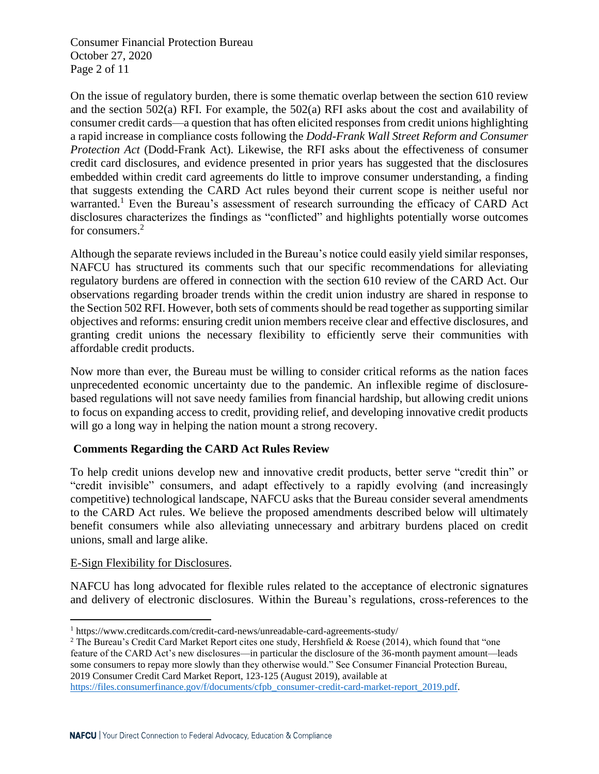Consumer Financial Protection Bureau October 27, 2020 Page 2 of 11

On the issue of regulatory burden, there is some thematic overlap between the section 610 review and the section  $502(a)$  RFI. For example, the  $502(a)$  RFI asks about the cost and availability of consumer credit cards—a question that has often elicited responses from credit unions highlighting a rapid increase in compliance costs following the *Dodd-Frank Wall Street Reform and Consumer Protection Act* (Dodd-Frank Act). Likewise, the RFI asks about the effectiveness of consumer credit card disclosures, and evidence presented in prior years has suggested that the disclosures embedded within credit card agreements do little to improve consumer understanding, a finding that suggests extending the CARD Act rules beyond their current scope is neither useful nor warranted.<sup>1</sup> Even the Bureau's assessment of research surrounding the efficacy of CARD Act disclosures characterizes the findings as "conflicted" and highlights potentially worse outcomes for consumers.<sup>2</sup>

Although the separate reviews included in the Bureau's notice could easily yield similar responses, NAFCU has structured its comments such that our specific recommendations for alleviating regulatory burdens are offered in connection with the section 610 review of the CARD Act. Our observations regarding broader trends within the credit union industry are shared in response to the Section 502 RFI. However, both sets of comments should be read together as supporting similar objectives and reforms: ensuring credit union members receive clear and effective disclosures, and granting credit unions the necessary flexibility to efficiently serve their communities with affordable credit products.

Now more than ever, the Bureau must be willing to consider critical reforms as the nation faces unprecedented economic uncertainty due to the pandemic. An inflexible regime of disclosurebased regulations will not save needy families from financial hardship, but allowing credit unions to focus on expanding access to credit, providing relief, and developing innovative credit products will go a long way in helping the nation mount a strong recovery.

# **Comments Regarding the CARD Act Rules Review**

To help credit unions develop new and innovative credit products, better serve "credit thin" or "credit invisible" consumers, and adapt effectively to a rapidly evolving (and increasingly competitive) technological landscape, NAFCU asks that the Bureau consider several amendments to the CARD Act rules. We believe the proposed amendments described below will ultimately benefit consumers while also alleviating unnecessary and arbitrary burdens placed on credit unions, small and large alike.

# E-Sign Flexibility for Disclosures.

NAFCU has long advocated for flexible rules related to the acceptance of electronic signatures and delivery of electronic disclosures. Within the Bureau's regulations, cross-references to the

```
https://files.consumerfinance.gov/f/documents/cfpb_consumer-credit-card-market-report_2019.pdf.
```
<sup>1</sup> https://www.creditcards.com/credit-card-news/unreadable-card-agreements-study/

<sup>&</sup>lt;sup>2</sup> The Bureau's Credit Card Market Report cites one study, Hershfield & Roese (2014), which found that "one feature of the CARD Act's new disclosures—in particular the disclosure of the 36-month payment amount—leads some consumers to repay more slowly than they otherwise would." See Consumer Financial Protection Bureau, 2019 Consumer Credit Card Market Report, 123-125 (August 2019), available at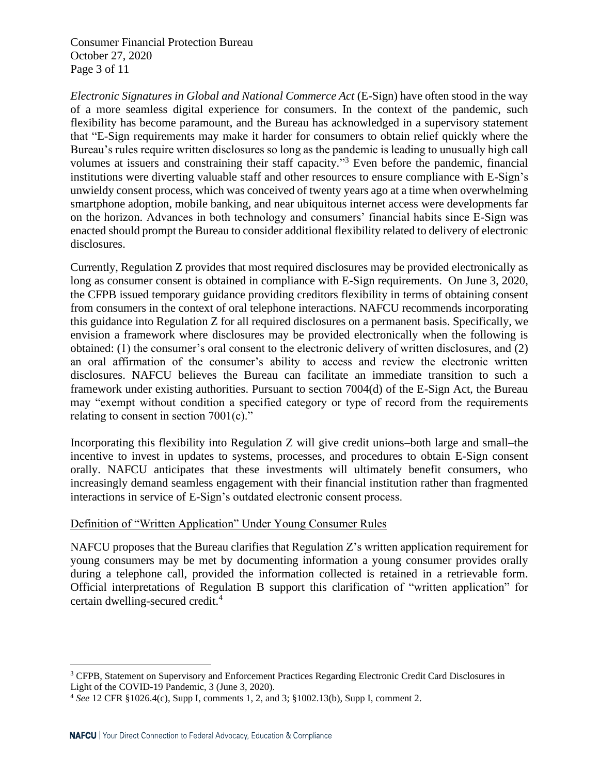Consumer Financial Protection Bureau October 27, 2020 Page 3 of 11

*Electronic Signatures in Global and National Commerce Act* (E-Sign) have often stood in the way of a more seamless digital experience for consumers. In the context of the pandemic, such flexibility has become paramount, and the Bureau has acknowledged in a supervisory statement that "E-Sign requirements may make it harder for consumers to obtain relief quickly where the Bureau's rules require written disclosures so long as the pandemic is leading to unusually high call volumes at issuers and constraining their staff capacity." <sup>3</sup> Even before the pandemic, financial institutions were diverting valuable staff and other resources to ensure compliance with E-Sign's unwieldy consent process, which was conceived of twenty years ago at a time when overwhelming smartphone adoption, mobile banking, and near ubiquitous internet access were developments far on the horizon. Advances in both technology and consumers' financial habits since E-Sign was enacted should prompt the Bureau to consider additional flexibility related to delivery of electronic disclosures.

Currently, Regulation Z provides that most required disclosures may be provided electronically as long as consumer consent is obtained in compliance with E-Sign requirements. On June 3, 2020, the CFPB issued temporary guidance providing creditors flexibility in terms of obtaining consent from consumers in the context of oral telephone interactions. NAFCU recommends incorporating this guidance into Regulation Z for all required disclosures on a permanent basis. Specifically, we envision a framework where disclosures may be provided electronically when the following is obtained: (1) the consumer's oral consent to the electronic delivery of written disclosures, and (2) an oral affirmation of the consumer's ability to access and review the electronic written disclosures. NAFCU believes the Bureau can facilitate an immediate transition to such a framework under existing authorities. Pursuant to section 7004(d) of the E-Sign Act, the Bureau may "exempt without condition a specified category or type of record from the requirements relating to consent in section 7001(c)."

Incorporating this flexibility into Regulation Z will give credit unions–both large and small–the incentive to invest in updates to systems, processes, and procedures to obtain E-Sign consent orally. NAFCU anticipates that these investments will ultimately benefit consumers, who increasingly demand seamless engagement with their financial institution rather than fragmented interactions in service of E-Sign's outdated electronic consent process.

### Definition of "Written Application" Under Young Consumer Rules

NAFCU proposes that the Bureau clarifies that Regulation  $Z$ 's written application requirement for young consumers may be met by documenting information a young consumer provides orally during a telephone call, provided the information collected is retained in a retrievable form. Official interpretations of Regulation B support this clarification of "written application" for certain dwelling-secured credit.<sup>4</sup>

<sup>&</sup>lt;sup>3</sup> CFPB, Statement on Supervisory and Enforcement Practices Regarding Electronic Credit Card Disclosures in Light of the COVID-19 Pandemic, 3 (June 3, 2020).

<sup>4</sup> *See* 12 CFR §1026.4(c), Supp I, comments 1, 2, and 3; §1002.13(b), Supp I, comment 2.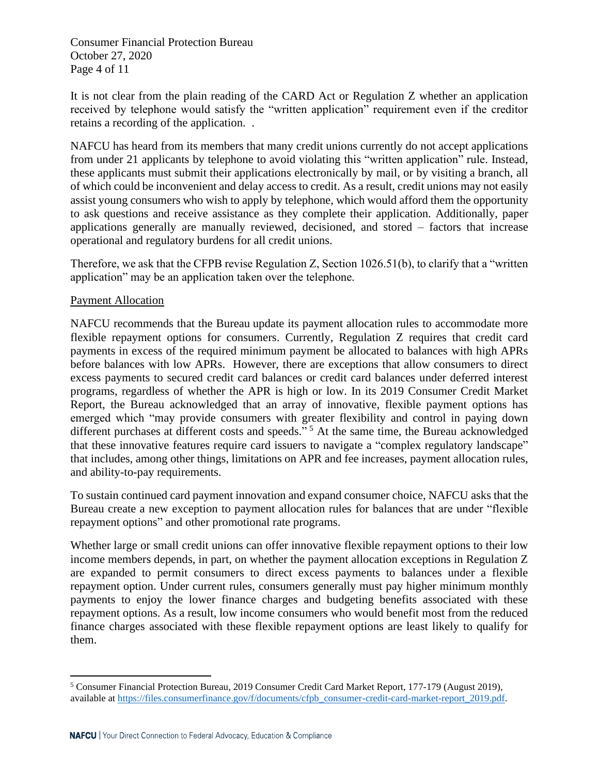Consumer Financial Protection Bureau October 27, 2020 Page 4 of 11

It is not clear from the plain reading of the CARD Act or Regulation Z whether an application received by telephone would satisfy the "written application" requirement even if the creditor retains a recording of the application. .

NAFCU has heard from its members that many credit unions currently do not accept applications from under 21 applicants by telephone to avoid violating this "written application" rule. Instead, these applicants must submit their applications electronically by mail, or by visiting a branch, all of which could be inconvenient and delay access to credit. As a result, credit unions may not easily assist young consumers who wish to apply by telephone, which would afford them the opportunity to ask questions and receive assistance as they complete their application. Additionally, paper applications generally are manually reviewed, decisioned, and stored – factors that increase operational and regulatory burdens for all credit unions.

Therefore, we ask that the CFPB revise Regulation Z, Section 1026.51(b), to clarify that a "written application" may be an application taken over the telephone.

## Payment Allocation

NAFCU recommends that the Bureau update its payment allocation rules to accommodate more flexible repayment options for consumers. Currently, Regulation Z requires that credit card payments in excess of the required minimum payment be allocated to balances with high APRs before balances with low APRs. However, there are exceptions that allow consumers to direct excess payments to secured credit card balances or credit card balances under deferred interest programs, regardless of whether the APR is high or low. In its 2019 Consumer Credit Market Report, the Bureau acknowledged that an array of innovative, flexible payment options has emerged which "may provide consumers with greater flexibility and control in paying down different purchases at different costs and speeds."<sup>5</sup> At the same time, the Bureau acknowledged that these innovative features require card issuers to navigate a "complex regulatory landscape" that includes, among other things, limitations on APR and fee increases, payment allocation rules, and ability-to-pay requirements.

To sustain continued card payment innovation and expand consumer choice, NAFCU asks that the Bureau create a new exception to payment allocation rules for balances that are under "flexible repayment options" and other promotional rate programs.

Whether large or small credit unions can offer innovative flexible repayment options to their low income members depends, in part, on whether the payment allocation exceptions in Regulation Z are expanded to permit consumers to direct excess payments to balances under a flexible repayment option. Under current rules, consumers generally must pay higher minimum monthly payments to enjoy the lower finance charges and budgeting benefits associated with these repayment options. As a result, low income consumers who would benefit most from the reduced finance charges associated with these flexible repayment options are least likely to qualify for them.

<sup>5</sup> Consumer Financial Protection Bureau, 2019 Consumer Credit Card Market Report, 177-179 (August 2019), available at [https://files.consumerfinance.gov/f/documents/cfpb\\_consumer-credit-card-market-report\\_2019.pdf.](https://files.consumerfinance.gov/f/documents/cfpb_consumer-credit-card-market-report_2019.pdf)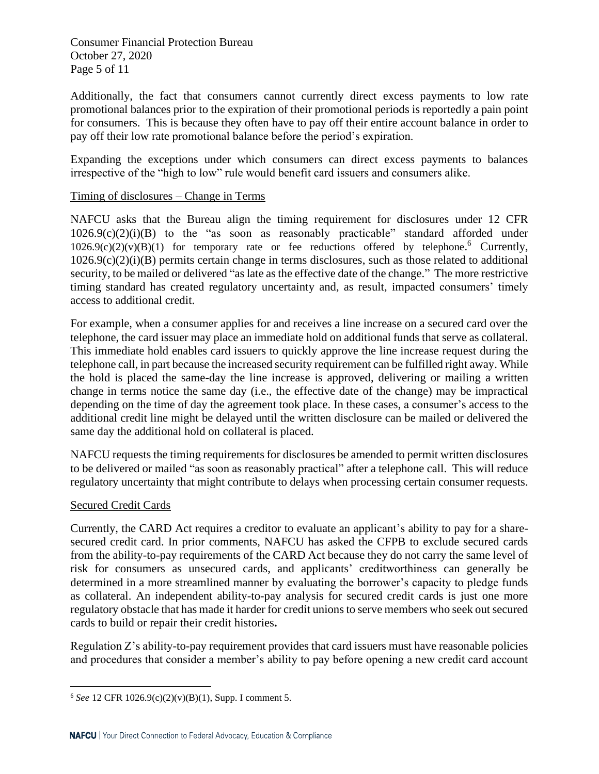Consumer Financial Protection Bureau October 27, 2020 Page 5 of 11

Additionally, the fact that consumers cannot currently direct excess payments to low rate promotional balances prior to the expiration of their promotional periods is reportedly a pain point for consumers. This is because they often have to pay off their entire account balance in order to pay off their low rate promotional balance before the period's expiration.

Expanding the exceptions under which consumers can direct excess payments to balances irrespective of the "high to low" rule would benefit card issuers and consumers alike.

## Timing of disclosures – Change in Terms

NAFCU asks that the Bureau align the timing requirement for disclosures under 12 CFR  $1026.9(c)(2)(i)(B)$  to the "as soon as reasonably practicable" standard afforded under  $1026.9(c)(2)(v)(B)(1)$  for temporary rate or fee reductions offered by telephone.<sup>6</sup> Currently,  $1026.9(c)(2)(i)(B)$  permits certain change in terms disclosures, such as those related to additional security, to be mailed or delivered "as late as the effective date of the change." The more restrictive timing standard has created regulatory uncertainty and, as result, impacted consumers' timely access to additional credit.

For example, when a consumer applies for and receives a line increase on a secured card over the telephone, the card issuer may place an immediate hold on additional funds that serve as collateral. This immediate hold enables card issuers to quickly approve the line increase request during the telephone call, in part because the increased security requirement can be fulfilled right away. While the hold is placed the same-day the line increase is approved, delivering or mailing a written change in terms notice the same day (i.e., the effective date of the change) may be impractical depending on the time of day the agreement took place. In these cases, a consumer's access to the additional credit line might be delayed until the written disclosure can be mailed or delivered the same day the additional hold on collateral is placed.

NAFCU requests the timing requirements for disclosures be amended to permit written disclosures to be delivered or mailed "as soon as reasonably practical" after a telephone call. This will reduce regulatory uncertainty that might contribute to delays when processing certain consumer requests.

### Secured Credit Cards

Currently, the CARD Act requires a creditor to evaluate an applicant's ability to pay for a sharesecured credit card. In prior comments, NAFCU has asked the CFPB to exclude secured cards from the ability-to-pay requirements of the CARD Act because they do not carry the same level of risk for consumers as unsecured cards, and applicants' creditworthiness can generally be determined in a more streamlined manner by evaluating the borrower's capacity to pledge funds as collateral. An independent ability-to-pay analysis for secured credit cards is just one more regulatory obstacle that has made it harder for credit unions to serve members who seek out secured cards to build or repair their credit histories**.**

Regulation Z's ability-to-pay requirement provides that card issuers must have reasonable policies and procedures that consider a member's ability to pay before opening a new credit card account

<sup>6</sup> *See* 12 CFR 1026.9(c)(2)(v)(B)(1), Supp. I comment 5.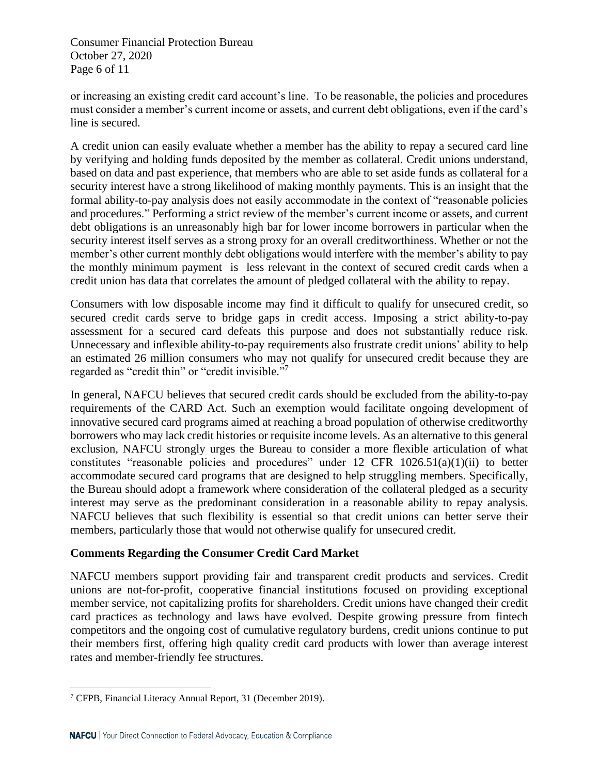Consumer Financial Protection Bureau October 27, 2020 Page 6 of 11

or increasing an existing credit card account's line. To be reasonable, the policies and procedures must consider a member's current income or assets, and current debt obligations, even if the card's line is secured.

A credit union can easily evaluate whether a member has the ability to repay a secured card line by verifying and holding funds deposited by the member as collateral. Credit unions understand, based on data and past experience, that members who are able to set aside funds as collateral for a security interest have a strong likelihood of making monthly payments. This is an insight that the formal ability-to-pay analysis does not easily accommodate in the context of "reasonable policies and procedures." Performing a strict review of the member's current income or assets, and current debt obligations is an unreasonably high bar for lower income borrowers in particular when the security interest itself serves as a strong proxy for an overall creditworthiness. Whether or not the member's other current monthly debt obligations would interfere with the member's ability to pay the monthly minimum payment is less relevant in the context of secured credit cards when a credit union has data that correlates the amount of pledged collateral with the ability to repay.

Consumers with low disposable income may find it difficult to qualify for unsecured credit, so secured credit cards serve to bridge gaps in credit access. Imposing a strict ability-to-pay assessment for a secured card defeats this purpose and does not substantially reduce risk. Unnecessary and inflexible ability-to-pay requirements also frustrate credit unions' ability to help an estimated 26 million consumers who may not qualify for unsecured credit because they are regarded as "credit thin" or "credit invisible."<sup>7</sup>

In general, NAFCU believes that secured credit cards should be excluded from the ability-to-pay requirements of the CARD Act. Such an exemption would facilitate ongoing development of innovative secured card programs aimed at reaching a broad population of otherwise creditworthy borrowers who may lack credit histories or requisite income levels. As an alternative to this general exclusion, NAFCU strongly urges the Bureau to consider a more flexible articulation of what constitutes "reasonable policies and procedures" under 12 CFR 1026.51(a)(1)(ii) to better accommodate secured card programs that are designed to help struggling members. Specifically, the Bureau should adopt a framework where consideration of the collateral pledged as a security interest may serve as the predominant consideration in a reasonable ability to repay analysis. NAFCU believes that such flexibility is essential so that credit unions can better serve their members, particularly those that would not otherwise qualify for unsecured credit.

# **Comments Regarding the Consumer Credit Card Market**

NAFCU members support providing fair and transparent credit products and services. Credit unions are not-for-profit, cooperative financial institutions focused on providing exceptional member service, not capitalizing profits for shareholders. Credit unions have changed their credit card practices as technology and laws have evolved. Despite growing pressure from fintech competitors and the ongoing cost of cumulative regulatory burdens, credit unions continue to put their members first, offering high quality credit card products with lower than average interest rates and member-friendly fee structures.

<sup>7</sup> CFPB, Financial Literacy Annual Report, 31 (December 2019).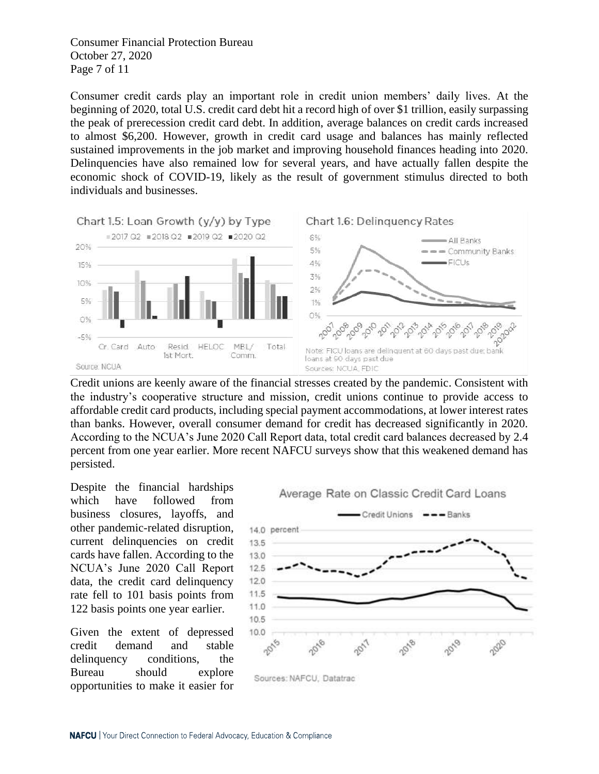Consumer Financial Protection Bureau October 27, 2020 Page 7 of 11

Consumer credit cards play an important role in credit union members' daily lives. At the beginning of 2020, total U.S. credit card debt hit a record high of over \$1 trillion, easily surpassing the peak of prerecession credit card debt. In addition, average balances on credit cards increased to almost \$6,200. However, growth in credit card usage and balances has mainly reflected sustained improvements in the job market and improving household finances heading into 2020. Delinquencies have also remained low for several years, and have actually fallen despite the economic shock of COVID-19, likely as the result of government stimulus directed to both individuals and businesses.



Credit unions are keenly aware of the financial stresses created by the pandemic. Consistent with the industry's cooperative structure and mission, credit unions continue to provide access to affordable credit card products, including special payment accommodations, at lower interest rates than banks. However, overall consumer demand for credit has decreased significantly in 2020. According to the NCUA's June 2020 Call Report data, total credit card balances decreased by 2.4 percent from one year earlier. More recent NAFCU surveys show that this weakened demand has persisted.

Despite the financial hardships which have followed from business closures, layoffs, and other pandemic-related disruption, current delinquencies on credit cards have fallen. According to the NCUA's June 2020 Call Report data, the credit card delinquency rate fell to 101 basis points from 122 basis points one year earlier.

Given the extent of depressed credit demand and stable delinquency conditions, the Bureau should explore opportunities to make it easier for



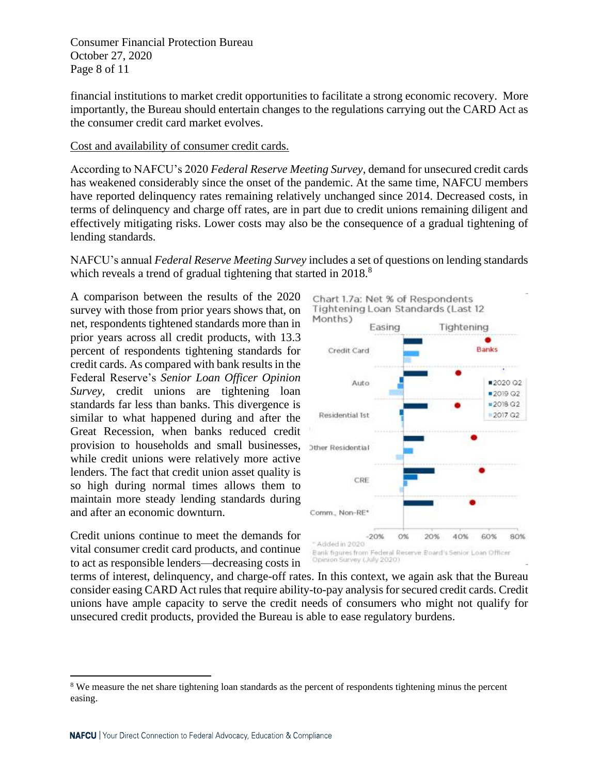Consumer Financial Protection Bureau October 27, 2020 Page 8 of 11

financial institutions to market credit opportunities to facilitate a strong economic recovery. More importantly, the Bureau should entertain changes to the regulations carrying out the CARD Act as the consumer credit card market evolves.

### Cost and availability of consumer credit cards.

According to NAFCU's 2020 *Federal Reserve Meeting Survey*, demand for unsecured credit cards has weakened considerably since the onset of the pandemic. At the same time, NAFCU members have reported delinquency rates remaining relatively unchanged since 2014. Decreased costs, in terms of delinquency and charge off rates, are in part due to credit unions remaining diligent and effectively mitigating risks. Lower costs may also be the consequence of a gradual tightening of lending standards.

NAFCU's annual *Federal Reserve Meeting Survey* includes a set of questions on lending standards which reveals a trend of gradual tightening that started in 2018.<sup>8</sup>

A comparison between the results of the 2020 survey with those from prior years shows that, on net, respondents tightened standards more than in prior years across all credit products, with 13.3 percent of respondents tightening standards for credit cards. As compared with bank results in the Federal Reserve's *Senior Loan Officer Opinion Survey,* credit unions are tightening loan standards far less than banks. This divergence is similar to what happened during and after the Great Recession, when banks reduced credit provision to households and small businesses, while credit unions were relatively more active lenders. The fact that credit union asset quality is so high during normal times allows them to maintain more steady lending standards during and after an economic downturn.

Credit unions continue to meet the demands for vital consumer credit card products, and continue to act as responsible lenders—decreasing costs in



terms of interest, delinquency, and charge-off rates. In this context, we again ask that the Bureau consider easing CARD Act rules that require ability-to-pay analysis for secured credit cards. Credit unions have ample capacity to serve the credit needs of consumers who might not qualify for unsecured credit products, provided the Bureau is able to ease regulatory burdens.

<sup>&</sup>lt;sup>8</sup> We measure the net share tightening loan standards as the percent of respondents tightening minus the percent easing.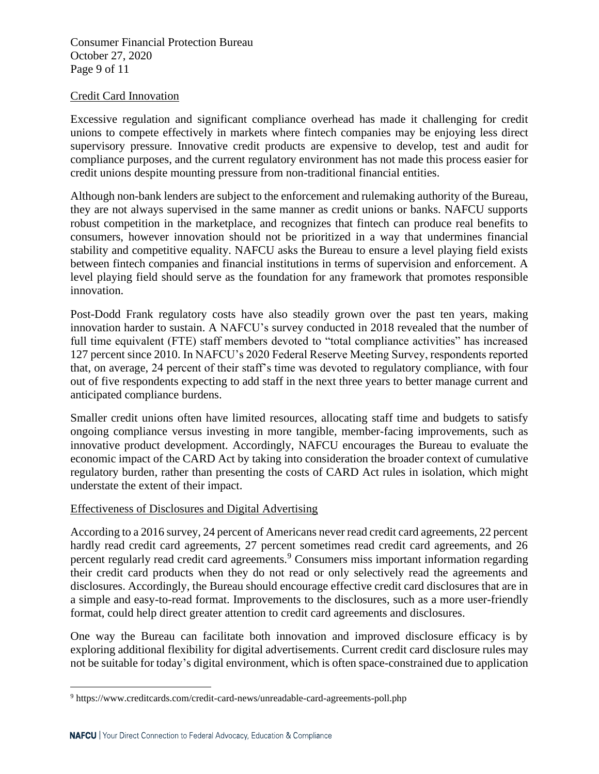Consumer Financial Protection Bureau October 27, 2020 Page 9 of 11

### Credit Card Innovation

Excessive regulation and significant compliance overhead has made it challenging for credit unions to compete effectively in markets where fintech companies may be enjoying less direct supervisory pressure. Innovative credit products are expensive to develop, test and audit for compliance purposes, and the current regulatory environment has not made this process easier for credit unions despite mounting pressure from non-traditional financial entities.

Although non-bank lenders are subject to the enforcement and rulemaking authority of the Bureau, they are not always supervised in the same manner as credit unions or banks. NAFCU supports robust competition in the marketplace, and recognizes that fintech can produce real benefits to consumers, however innovation should not be prioritized in a way that undermines financial stability and competitive equality. NAFCU asks the Bureau to ensure a level playing field exists between fintech companies and financial institutions in terms of supervision and enforcement. A level playing field should serve as the foundation for any framework that promotes responsible innovation.

Post-Dodd Frank regulatory costs have also steadily grown over the past ten years, making innovation harder to sustain. A NAFCU's survey conducted in 2018 revealed that the number of full time equivalent (FTE) staff members devoted to "total compliance activities" has increased 127 percent since 2010. In NAFCU's 2020 Federal Reserve Meeting Survey, respondents reported that, on average, 24 percent of their staff's time was devoted to regulatory compliance, with four out of five respondents expecting to add staff in the next three years to better manage current and anticipated compliance burdens.

Smaller credit unions often have limited resources, allocating staff time and budgets to satisfy ongoing compliance versus investing in more tangible, member-facing improvements, such as innovative product development. Accordingly, NAFCU encourages the Bureau to evaluate the economic impact of the CARD Act by taking into consideration the broader context of cumulative regulatory burden, rather than presenting the costs of CARD Act rules in isolation, which might understate the extent of their impact.

### Effectiveness of Disclosures and Digital Advertising

According to a 2016 survey, 24 percent of Americans never read credit card agreements, 22 percent hardly read credit card agreements, 27 percent sometimes read credit card agreements, and 26 percent regularly read credit card agreements.<sup>9</sup> Consumers miss important information regarding their credit card products when they do not read or only selectively read the agreements and disclosures. Accordingly, the Bureau should encourage effective credit card disclosures that are in a simple and easy-to-read format. Improvements to the disclosures, such as a more user-friendly format, could help direct greater attention to credit card agreements and disclosures.

One way the Bureau can facilitate both innovation and improved disclosure efficacy is by exploring additional flexibility for digital advertisements. Current credit card disclosure rules may not be suitable for today's digital environment, which is often space-constrained due to application

<sup>9</sup> https://www.creditcards.com/credit-card-news/unreadable-card-agreements-poll.php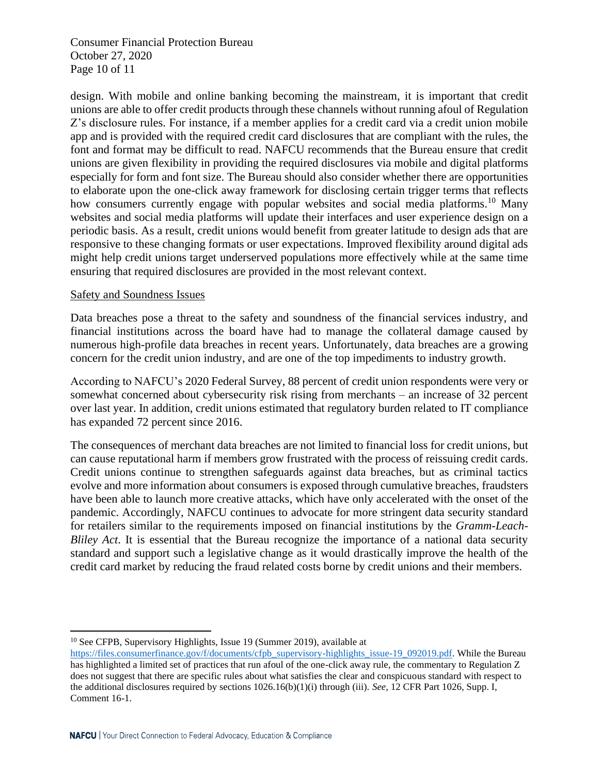Consumer Financial Protection Bureau October 27, 2020 Page 10 of 11

design. With mobile and online banking becoming the mainstream, it is important that credit unions are able to offer credit products through these channels without running afoul of Regulation Z's disclosure rules. For instance, if a member applies for a credit card via a credit union mobile app and is provided with the required credit card disclosures that are compliant with the rules, the font and format may be difficult to read. NAFCU recommends that the Bureau ensure that credit unions are given flexibility in providing the required disclosures via mobile and digital platforms especially for form and font size. The Bureau should also consider whether there are opportunities to elaborate upon the one-click away framework for disclosing certain trigger terms that reflects how consumers currently engage with popular websites and social media platforms.<sup>10</sup> Many websites and social media platforms will update their interfaces and user experience design on a periodic basis. As a result, credit unions would benefit from greater latitude to design ads that are responsive to these changing formats or user expectations. Improved flexibility around digital ads might help credit unions target underserved populations more effectively while at the same time ensuring that required disclosures are provided in the most relevant context.

#### Safety and Soundness Issues

Data breaches pose a threat to the safety and soundness of the financial services industry, and financial institutions across the board have had to manage the collateral damage caused by numerous high-profile data breaches in recent years. Unfortunately, data breaches are a growing concern for the credit union industry, and are one of the top impediments to industry growth.

According to NAFCU's 2020 Federal Survey, 88 percent of credit union respondents were very or somewhat concerned about cybersecurity risk rising from merchants – an increase of 32 percent over last year. In addition, credit unions estimated that regulatory burden related to IT compliance has expanded 72 percent since 2016.

The consequences of merchant data breaches are not limited to financial loss for credit unions, but can cause reputational harm if members grow frustrated with the process of reissuing credit cards. Credit unions continue to strengthen safeguards against data breaches, but as criminal tactics evolve and more information about consumers is exposed through cumulative breaches, fraudsters have been able to launch more creative attacks, which have only accelerated with the onset of the pandemic. Accordingly, NAFCU continues to advocate for more stringent data security standard for retailers similar to the requirements imposed on financial institutions by the *Gramm-Leach-Bliley Act*. It is essential that the Bureau recognize the importance of a national data security standard and support such a legislative change as it would drastically improve the health of the credit card market by reducing the fraud related costs borne by credit unions and their members.

<sup>&</sup>lt;sup>10</sup> See CFPB, Supervisory Highlights, Issue 19 (Summer 2019), available at

[https://files.consumerfinance.gov/f/documents/cfpb\\_supervisory-highlights\\_issue-19\\_092019.pdf.](https://files.consumerfinance.gov/f/documents/cfpb_supervisory-highlights_issue-19_092019.pdf) While the Bureau has highlighted a limited set of practices that run afoul of the one-click away rule, the commentary to Regulation Z does not suggest that there are specific rules about what satisfies the clear and conspicuous standard with respect to the additional disclosures required by sections 1026.16(b)(1)(i) through (iii). *See*, 12 CFR Part 1026, Supp. I, Comment 16-1.